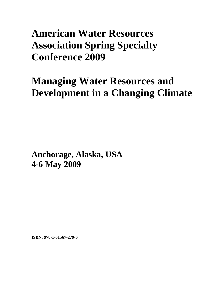## **American Water Resources Association Spring Specialty Conference 2009**

# **Managing Water Resources and Development in a Changing Climate**

**Anchorage, Alaska, USA 4-6 May 2009** 

**ISBN: 978-1-61567-279-0**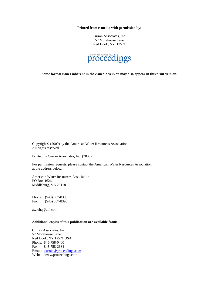**Printed from e-media with permission by:** 

Curran Associates, Inc. 57 Morehouse Lane Red Hook, NY 12571



**Some format issues inherent in the e-media version may also appear in this print version.** 

Copyright© (2009) by the American Water Resources Association All rights reserved.

Printed by Curran Associates, Inc. (2009)

For permission requests, please contact the American Water Resources Association at the address below.

American Water Resources Association PO Box 1626 Middleburg, VA 20118

Phone: (540) 687-8390 Fax: (540) 687-8395

awrahq@aol.com

#### **Additional copies of this publication are available from:**

Curran Associates, Inc. 57 Morehouse Lane Red Hook, NY 12571 USA Phone: 845-758-0400 Fax: 845-758-2634 Email: curran@proceedings.com Web: www.proceedings.com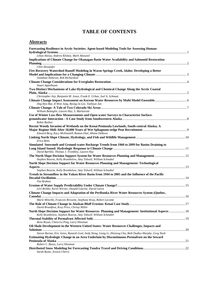### **TABLE OF CONTENTS**

### **Abstracts**

| Forecasting Resilience in Arctic Societies: Agent-based Modeling Tools for Assessing Human-                                                                          |  |
|----------------------------------------------------------------------------------------------------------------------------------------------------------------------|--|
| Lilian Alessa, Andrew Kliskey, Mark Altaweel                                                                                                                         |  |
| Implications of Climate Change for Okanagan Basin Water Availability and Salmonid Restoration                                                                        |  |
| Clint Alexander                                                                                                                                                      |  |
| Fire Recovery Watershed Runoff Modeling in Warm Springs Creek, Idaho: Developing a Better                                                                            |  |
| Jonathan Ambrose, Rob Richardson                                                                                                                                     |  |
| Stuart Appelbaum                                                                                                                                                     |  |
| Two Distinct Mechanisms of Lake Hydrological and Chemical Change Along the Arctic Coastal                                                                            |  |
|                                                                                                                                                                      |  |
| Christopher Arp, Benjamin M. Jones, Frank E. Urban, Joel A. Schmutz                                                                                                  |  |
| Deg-Hyo Bae, Il-Won Jung, Byong-Ju Lee, Taehyun Jun                                                                                                                  |  |
|                                                                                                                                                                      |  |
| William Battaglin, Lauren Hay, S. Markstrom                                                                                                                          |  |
| Use of Winter Low-flow Measurements and Open-water Surveys to Characterize Surface-                                                                                  |  |
| Robin Beebee                                                                                                                                                         |  |
| Recent Woody Invasion of Wetlands on the Kenai Peninsula Lowlands, South-central Alaska; A                                                                           |  |
| Edward Berg, Kacy McDonnell, Roman Dial, Allana DeRuwe                                                                                                               |  |
|                                                                                                                                                                      |  |
| Erica Betts                                                                                                                                                          |  |
| Simulated Snowmelt and Ground-water Recharge Trends from 1960 to 2099 for Basins Draining to                                                                         |  |
|                                                                                                                                                                      |  |
| David Bjerklie, Thomas J. Trombley, Lauren Hay                                                                                                                       |  |
| Stephen Bourne, Kelly Brumbelow, Amy Tidwell, William Schnabel                                                                                                       |  |
| North Slope Decision Support for Water Resources Planning and Management: Technological                                                                              |  |
| Stephen Bourne, Kelly Brumbelow, Amy Tidwell, William Schnabel                                                                                                       |  |
| Trends in Streamflow in the Yukon River Basin from 1944 to 2005 and the Influence of the Pacific                                                                     |  |
|                                                                                                                                                                      |  |
| <b>Tim Brabets</b>                                                                                                                                                   |  |
|                                                                                                                                                                      |  |
| Levi Brekke, Kevin Werner, Donald Laurine, David Garen                                                                                                               |  |
| Climate Change Impacts and Adaptation of the Peribonka River Water Resources System (Quebec,                                                                         |  |
| Marie Minville, Francois Brissette, Stephane Krau, Robert Leconte                                                                                                    |  |
| David Broadfoot, Krey Price, Christy Miller                                                                                                                          |  |
| North Slope Decision Support for Water Resources Planning and Management: Institutional Aspects 18<br>Kelly Brumbelow, Stephen Bourne, Amy Tidwell, William Schnabel |  |
|                                                                                                                                                                      |  |
| Rena Bryan, Chien-Lu Ping, Larry Hinzman                                                                                                                             |  |
| Oil Shale Development in the Western United States: Water Resources Challenges, Impacts and                                                                          |  |
|                                                                                                                                                                      |  |
| Steven Burian, Eric Jones, Ramesh Goel, Andy Hong, Liang Li, Zhixiong Cha, Beth Dudley-Murphy, Greg Nash                                                             |  |
| Estimating Hydrologic Change in an Area Underlain by Discontinuous Permafrost on the Seward                                                                          |  |
|                                                                                                                                                                      |  |
| Robert C. Busey, Larry Hinzman                                                                                                                                       |  |
| Sarah Byam, Jessica Cherry                                                                                                                                           |  |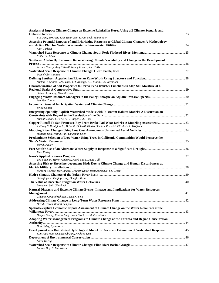| B-S. Kim, BoKyung Kim, Hyun-Han Kwon, Seok-Young Yoon<br>Assessing Potential Impacts of and Prioritizing Response to Global Climate Change: A Methodology<br>Amy Carlson<br>Katherine Chase<br>Southeast Alaska Hydropower: Reconsidering Climate Variability and Change in the Development<br>Jessica Cherry, Amy Tidwell, Nancy Fresco, Sue Walker<br>Daniel Christiansen<br>Barton D. Clinton, J.M. Vose, J.D. Knoepp, K.J. Elliott, B.C. Reynolds<br>Characterization of Soil Properties to Derive Pedo-transfer Functions to Map Soil Moisture at a<br>Shanon Connelly, Barnali Dixon<br>Jennifer Conner<br><b>Bryce Contor</b><br>Integrating Spatially Explicit Watershed Models with In-stream Habitat Models: A Discussion on<br>Barnali Dixon, J. Earls, A.F. Casper, J.A. Gore<br>Copper Runoff To San Francisco Bay From Brake Pad Wear Debris: A Modeling Assessment 33<br>Anthony S. Donigian Jr., Brian R. Bicknell, Kirsten Sinclair Rosselot, Elizabeth A. Wolfram<br>Huifang Dou, Yiding Han, Yangquan Chen<br>Predominate Selection of Low Water Using Trees in California Communities Would Preserve the<br>David Dudley<br><b>Paul Easley</b><br>Ted Engman, Steven Ambrose, Jared Entin, David Toll<br>Assessing Risk to Shoreline-dependent Birds Due to Climate Change and Human Disturbances at<br>Richard Fischer, Igor Linkov, Gregory Kiker, Resit Akçakaya, Lev Ginzb<br>Shaoqing Ge, Daqing Yang, Douglas Kane<br>Mohamed Said Gheblawi<br>Natural Disasters and Extreme Climate Events: Impacts and Implications for Water Resources<br>Chennat Gopalakrishnan, Jason K. Levy<br>David Groves, Robert Lempert<br>Spatially-explicit Economic Impact Assessment of Climate Change on the Water Resources of the<br>Heejun Chang, Il-Won Jung, Brian Block, Sarah Praskievicz<br>Adapting Water Management Programs to Climate Change at the Toronto and Region Conservation<br>Don Haley, Ryan Ness<br>Development of a Distributed Hydrological Model for Accurate Estimation of Watershed Response  45<br>Kun Yeun Han, Gwangseob Kim, Keuksoo Kim<br>Larry Hartig<br>Lauren Hay, S. Markstrom | Analysis of Impact Climate Change on Extreme Rainfall in Korea Using a 2 Climate Scenario and |  |
|--------------------------------------------------------------------------------------------------------------------------------------------------------------------------------------------------------------------------------------------------------------------------------------------------------------------------------------------------------------------------------------------------------------------------------------------------------------------------------------------------------------------------------------------------------------------------------------------------------------------------------------------------------------------------------------------------------------------------------------------------------------------------------------------------------------------------------------------------------------------------------------------------------------------------------------------------------------------------------------------------------------------------------------------------------------------------------------------------------------------------------------------------------------------------------------------------------------------------------------------------------------------------------------------------------------------------------------------------------------------------------------------------------------------------------------------------------------------------------------------------------------------------------------------------------------------------------------------------------------------------------------------------------------------------------------------------------------------------------------------------------------------------------------------------------------------------------------------------------------------------------------------------------------------------------------------------------------------------------------------------------------------------------------------------------------------------------------------------------------------------------|-----------------------------------------------------------------------------------------------|--|
|                                                                                                                                                                                                                                                                                                                                                                                                                                                                                                                                                                                                                                                                                                                                                                                                                                                                                                                                                                                                                                                                                                                                                                                                                                                                                                                                                                                                                                                                                                                                                                                                                                                                                                                                                                                                                                                                                                                                                                                                                                                                                                                                |                                                                                               |  |
|                                                                                                                                                                                                                                                                                                                                                                                                                                                                                                                                                                                                                                                                                                                                                                                                                                                                                                                                                                                                                                                                                                                                                                                                                                                                                                                                                                                                                                                                                                                                                                                                                                                                                                                                                                                                                                                                                                                                                                                                                                                                                                                                |                                                                                               |  |
|                                                                                                                                                                                                                                                                                                                                                                                                                                                                                                                                                                                                                                                                                                                                                                                                                                                                                                                                                                                                                                                                                                                                                                                                                                                                                                                                                                                                                                                                                                                                                                                                                                                                                                                                                                                                                                                                                                                                                                                                                                                                                                                                |                                                                                               |  |
|                                                                                                                                                                                                                                                                                                                                                                                                                                                                                                                                                                                                                                                                                                                                                                                                                                                                                                                                                                                                                                                                                                                                                                                                                                                                                                                                                                                                                                                                                                                                                                                                                                                                                                                                                                                                                                                                                                                                                                                                                                                                                                                                |                                                                                               |  |
|                                                                                                                                                                                                                                                                                                                                                                                                                                                                                                                                                                                                                                                                                                                                                                                                                                                                                                                                                                                                                                                                                                                                                                                                                                                                                                                                                                                                                                                                                                                                                                                                                                                                                                                                                                                                                                                                                                                                                                                                                                                                                                                                |                                                                                               |  |
|                                                                                                                                                                                                                                                                                                                                                                                                                                                                                                                                                                                                                                                                                                                                                                                                                                                                                                                                                                                                                                                                                                                                                                                                                                                                                                                                                                                                                                                                                                                                                                                                                                                                                                                                                                                                                                                                                                                                                                                                                                                                                                                                |                                                                                               |  |
|                                                                                                                                                                                                                                                                                                                                                                                                                                                                                                                                                                                                                                                                                                                                                                                                                                                                                                                                                                                                                                                                                                                                                                                                                                                                                                                                                                                                                                                                                                                                                                                                                                                                                                                                                                                                                                                                                                                                                                                                                                                                                                                                |                                                                                               |  |
|                                                                                                                                                                                                                                                                                                                                                                                                                                                                                                                                                                                                                                                                                                                                                                                                                                                                                                                                                                                                                                                                                                                                                                                                                                                                                                                                                                                                                                                                                                                                                                                                                                                                                                                                                                                                                                                                                                                                                                                                                                                                                                                                |                                                                                               |  |
|                                                                                                                                                                                                                                                                                                                                                                                                                                                                                                                                                                                                                                                                                                                                                                                                                                                                                                                                                                                                                                                                                                                                                                                                                                                                                                                                                                                                                                                                                                                                                                                                                                                                                                                                                                                                                                                                                                                                                                                                                                                                                                                                |                                                                                               |  |
|                                                                                                                                                                                                                                                                                                                                                                                                                                                                                                                                                                                                                                                                                                                                                                                                                                                                                                                                                                                                                                                                                                                                                                                                                                                                                                                                                                                                                                                                                                                                                                                                                                                                                                                                                                                                                                                                                                                                                                                                                                                                                                                                |                                                                                               |  |
|                                                                                                                                                                                                                                                                                                                                                                                                                                                                                                                                                                                                                                                                                                                                                                                                                                                                                                                                                                                                                                                                                                                                                                                                                                                                                                                                                                                                                                                                                                                                                                                                                                                                                                                                                                                                                                                                                                                                                                                                                                                                                                                                |                                                                                               |  |
|                                                                                                                                                                                                                                                                                                                                                                                                                                                                                                                                                                                                                                                                                                                                                                                                                                                                                                                                                                                                                                                                                                                                                                                                                                                                                                                                                                                                                                                                                                                                                                                                                                                                                                                                                                                                                                                                                                                                                                                                                                                                                                                                |                                                                                               |  |
|                                                                                                                                                                                                                                                                                                                                                                                                                                                                                                                                                                                                                                                                                                                                                                                                                                                                                                                                                                                                                                                                                                                                                                                                                                                                                                                                                                                                                                                                                                                                                                                                                                                                                                                                                                                                                                                                                                                                                                                                                                                                                                                                |                                                                                               |  |
|                                                                                                                                                                                                                                                                                                                                                                                                                                                                                                                                                                                                                                                                                                                                                                                                                                                                                                                                                                                                                                                                                                                                                                                                                                                                                                                                                                                                                                                                                                                                                                                                                                                                                                                                                                                                                                                                                                                                                                                                                                                                                                                                |                                                                                               |  |
|                                                                                                                                                                                                                                                                                                                                                                                                                                                                                                                                                                                                                                                                                                                                                                                                                                                                                                                                                                                                                                                                                                                                                                                                                                                                                                                                                                                                                                                                                                                                                                                                                                                                                                                                                                                                                                                                                                                                                                                                                                                                                                                                |                                                                                               |  |
|                                                                                                                                                                                                                                                                                                                                                                                                                                                                                                                                                                                                                                                                                                                                                                                                                                                                                                                                                                                                                                                                                                                                                                                                                                                                                                                                                                                                                                                                                                                                                                                                                                                                                                                                                                                                                                                                                                                                                                                                                                                                                                                                |                                                                                               |  |
|                                                                                                                                                                                                                                                                                                                                                                                                                                                                                                                                                                                                                                                                                                                                                                                                                                                                                                                                                                                                                                                                                                                                                                                                                                                                                                                                                                                                                                                                                                                                                                                                                                                                                                                                                                                                                                                                                                                                                                                                                                                                                                                                |                                                                                               |  |
|                                                                                                                                                                                                                                                                                                                                                                                                                                                                                                                                                                                                                                                                                                                                                                                                                                                                                                                                                                                                                                                                                                                                                                                                                                                                                                                                                                                                                                                                                                                                                                                                                                                                                                                                                                                                                                                                                                                                                                                                                                                                                                                                |                                                                                               |  |
|                                                                                                                                                                                                                                                                                                                                                                                                                                                                                                                                                                                                                                                                                                                                                                                                                                                                                                                                                                                                                                                                                                                                                                                                                                                                                                                                                                                                                                                                                                                                                                                                                                                                                                                                                                                                                                                                                                                                                                                                                                                                                                                                |                                                                                               |  |
|                                                                                                                                                                                                                                                                                                                                                                                                                                                                                                                                                                                                                                                                                                                                                                                                                                                                                                                                                                                                                                                                                                                                                                                                                                                                                                                                                                                                                                                                                                                                                                                                                                                                                                                                                                                                                                                                                                                                                                                                                                                                                                                                |                                                                                               |  |
|                                                                                                                                                                                                                                                                                                                                                                                                                                                                                                                                                                                                                                                                                                                                                                                                                                                                                                                                                                                                                                                                                                                                                                                                                                                                                                                                                                                                                                                                                                                                                                                                                                                                                                                                                                                                                                                                                                                                                                                                                                                                                                                                |                                                                                               |  |
|                                                                                                                                                                                                                                                                                                                                                                                                                                                                                                                                                                                                                                                                                                                                                                                                                                                                                                                                                                                                                                                                                                                                                                                                                                                                                                                                                                                                                                                                                                                                                                                                                                                                                                                                                                                                                                                                                                                                                                                                                                                                                                                                |                                                                                               |  |
|                                                                                                                                                                                                                                                                                                                                                                                                                                                                                                                                                                                                                                                                                                                                                                                                                                                                                                                                                                                                                                                                                                                                                                                                                                                                                                                                                                                                                                                                                                                                                                                                                                                                                                                                                                                                                                                                                                                                                                                                                                                                                                                                |                                                                                               |  |
|                                                                                                                                                                                                                                                                                                                                                                                                                                                                                                                                                                                                                                                                                                                                                                                                                                                                                                                                                                                                                                                                                                                                                                                                                                                                                                                                                                                                                                                                                                                                                                                                                                                                                                                                                                                                                                                                                                                                                                                                                                                                                                                                |                                                                                               |  |
|                                                                                                                                                                                                                                                                                                                                                                                                                                                                                                                                                                                                                                                                                                                                                                                                                                                                                                                                                                                                                                                                                                                                                                                                                                                                                                                                                                                                                                                                                                                                                                                                                                                                                                                                                                                                                                                                                                                                                                                                                                                                                                                                |                                                                                               |  |
|                                                                                                                                                                                                                                                                                                                                                                                                                                                                                                                                                                                                                                                                                                                                                                                                                                                                                                                                                                                                                                                                                                                                                                                                                                                                                                                                                                                                                                                                                                                                                                                                                                                                                                                                                                                                                                                                                                                                                                                                                                                                                                                                |                                                                                               |  |
|                                                                                                                                                                                                                                                                                                                                                                                                                                                                                                                                                                                                                                                                                                                                                                                                                                                                                                                                                                                                                                                                                                                                                                                                                                                                                                                                                                                                                                                                                                                                                                                                                                                                                                                                                                                                                                                                                                                                                                                                                                                                                                                                |                                                                                               |  |
|                                                                                                                                                                                                                                                                                                                                                                                                                                                                                                                                                                                                                                                                                                                                                                                                                                                                                                                                                                                                                                                                                                                                                                                                                                                                                                                                                                                                                                                                                                                                                                                                                                                                                                                                                                                                                                                                                                                                                                                                                                                                                                                                |                                                                                               |  |
|                                                                                                                                                                                                                                                                                                                                                                                                                                                                                                                                                                                                                                                                                                                                                                                                                                                                                                                                                                                                                                                                                                                                                                                                                                                                                                                                                                                                                                                                                                                                                                                                                                                                                                                                                                                                                                                                                                                                                                                                                                                                                                                                |                                                                                               |  |
|                                                                                                                                                                                                                                                                                                                                                                                                                                                                                                                                                                                                                                                                                                                                                                                                                                                                                                                                                                                                                                                                                                                                                                                                                                                                                                                                                                                                                                                                                                                                                                                                                                                                                                                                                                                                                                                                                                                                                                                                                                                                                                                                |                                                                                               |  |
|                                                                                                                                                                                                                                                                                                                                                                                                                                                                                                                                                                                                                                                                                                                                                                                                                                                                                                                                                                                                                                                                                                                                                                                                                                                                                                                                                                                                                                                                                                                                                                                                                                                                                                                                                                                                                                                                                                                                                                                                                                                                                                                                |                                                                                               |  |
|                                                                                                                                                                                                                                                                                                                                                                                                                                                                                                                                                                                                                                                                                                                                                                                                                                                                                                                                                                                                                                                                                                                                                                                                                                                                                                                                                                                                                                                                                                                                                                                                                                                                                                                                                                                                                                                                                                                                                                                                                                                                                                                                |                                                                                               |  |
|                                                                                                                                                                                                                                                                                                                                                                                                                                                                                                                                                                                                                                                                                                                                                                                                                                                                                                                                                                                                                                                                                                                                                                                                                                                                                                                                                                                                                                                                                                                                                                                                                                                                                                                                                                                                                                                                                                                                                                                                                                                                                                                                |                                                                                               |  |
|                                                                                                                                                                                                                                                                                                                                                                                                                                                                                                                                                                                                                                                                                                                                                                                                                                                                                                                                                                                                                                                                                                                                                                                                                                                                                                                                                                                                                                                                                                                                                                                                                                                                                                                                                                                                                                                                                                                                                                                                                                                                                                                                |                                                                                               |  |
|                                                                                                                                                                                                                                                                                                                                                                                                                                                                                                                                                                                                                                                                                                                                                                                                                                                                                                                                                                                                                                                                                                                                                                                                                                                                                                                                                                                                                                                                                                                                                                                                                                                                                                                                                                                                                                                                                                                                                                                                                                                                                                                                |                                                                                               |  |
|                                                                                                                                                                                                                                                                                                                                                                                                                                                                                                                                                                                                                                                                                                                                                                                                                                                                                                                                                                                                                                                                                                                                                                                                                                                                                                                                                                                                                                                                                                                                                                                                                                                                                                                                                                                                                                                                                                                                                                                                                                                                                                                                |                                                                                               |  |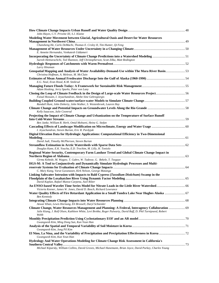| John Hayes, C.V. Privette III, S.J. Klaine                                                                                                                                                                                   |  |
|------------------------------------------------------------------------------------------------------------------------------------------------------------------------------------------------------------------------------|--|
| Modeling Water Movement between Glacial, Agricultural Oasis and Desert for Water Resources                                                                                                                                   |  |
|                                                                                                                                                                                                                              |  |
| Chansheng He, Carlo DeMachi, Thomas E. Croley II, Tim Hunter, Qi Feng                                                                                                                                                        |  |
|                                                                                                                                                                                                                              |  |
| E. Annette Hernandez, Venkatesh Uddameri                                                                                                                                                                                     |  |
|                                                                                                                                                                                                                              |  |
| Suresh Hettiarachchi, Ted Shannon, Jeff Christopherson, Scott Zilka, Matt Redington                                                                                                                                          |  |
|                                                                                                                                                                                                                              |  |
| Larry Hinzman                                                                                                                                                                                                                |  |
| Geospatial Mapping and Analysis of Water Availability-Demand-Use within The Mara River Basin53<br>Christina Hoffman, A. Melesse, M. McClain                                                                                  |  |
|                                                                                                                                                                                                                              |  |
| E.G. Neal, Eran Hood, K.M. Smikrud                                                                                                                                                                                           |  |
|                                                                                                                                                                                                                              |  |
| Adam Hosking, Jerry Sparks, Peter von Lany                                                                                                                                                                                   |  |
| Closing the Loop of Climate Feedback in the Design of Large-scale Water Resources Project56                                                                                                                                  |  |
| Faisal Hossain, I. Jeyachandran, Abebe Sine Gebregiorgis                                                                                                                                                                     |  |
|                                                                                                                                                                                                                              |  |
| Randall Hunt, John Doherty, John Walker, S. Westenbroek, Lauren Hay                                                                                                                                                          |  |
|                                                                                                                                                                                                                              |  |
| Kelly Isaacson, Julie Coonrod                                                                                                                                                                                                |  |
| Projecting the Impact of Climate Change and Urbanization on the Temperature of Surface Runoff                                                                                                                                |  |
|                                                                                                                                                                                                                              |  |
| Ben Janke, William R. Herb, Omid Mohseni, Heinz G. Stefan                                                                                                                                                                    |  |
|                                                                                                                                                                                                                              |  |
| I. Jeyachandran, Steven Burian, Eric R. Pardyjak                                                                                                                                                                             |  |
| Digital Elevation Data for Hydrologic Applications: Computational Efficiency in Two-Dimensional                                                                                                                              |  |
|                                                                                                                                                                                                                              |  |
| David Judi, Timothy McPherson, Steven Burian                                                                                                                                                                                 |  |
|                                                                                                                                                                                                                              |  |
| Douglas Kane, E.K. Youcha, E.D. Trochim, M. Lilly, H. Toniolo                                                                                                                                                                |  |
| Regional Water Security, Contemporary Farm Landuse Trend and Global Climate Change Impact in                                                                                                                                 |  |
|                                                                                                                                                                                                                              |  |
| Girma Kebede, M. Wagaw, T. Gabre, W. Tadesse, G. Bekele, T. Tsegaye                                                                                                                                                          |  |
| HGS-M: A Tool to Conjunctively and Dynamically Simulate Hydrologic Processes and Multi-                                                                                                                                      |  |
|                                                                                                                                                                                                                              |  |
| C. Mary Kang, Varut Guvanasen, Kirk Nelson, George Matanga                                                                                                                                                                   |  |
| Linking Saltwater Intrusion with Impacts to Bald Cypress (Taxodium Distichum) Swamp in the                                                                                                                                   |  |
|                                                                                                                                                                                                                              |  |
| David Kaplan, Rafael Munoz-Carpena, Axel Ritter                                                                                                                                                                              |  |
| An ENSO-based Wavelet Time Series Model for Nitrate Loads in the Little River Watershed 66                                                                                                                                   |  |
| Victoria Keener, James W. Jones, David D. Bosch, Richard Lowrance                                                                                                                                                            |  |
|                                                                                                                                                                                                                              |  |
| Water Quality Effects of Fire Retardant Application in a Small Tundra Lake Near Hughes Alaska  67<br>Ben Kennedy                                                                                                             |  |
|                                                                                                                                                                                                                              |  |
| Anwar Khan, Lewis Hornung, Eli Brossell, Daryl Schneider                                                                                                                                                                     |  |
| Climate Change, Water Resources Management and Planning: A Federal, Interagency Collaboration  69<br>Julie Kiang, J. Rolf Olsen, Kathleen White, Levi Brekke, Roger Pulwarty, David Raff, D. Phil Turnipseed, Robert<br>Webb |  |
|                                                                                                                                                                                                                              |  |
| Gwangseob Kim, Ming Dong Sun, Kun Yeun Han                                                                                                                                                                                   |  |
|                                                                                                                                                                                                                              |  |
| Gwangseob Kim, Jong Pil Kim                                                                                                                                                                                                  |  |
|                                                                                                                                                                                                                              |  |
|                                                                                                                                                                                                                              |  |
| Gwangseob Kim, Kun Yeun Han                                                                                                                                                                                                  |  |
| Hydrology And Water Operations Modeling for Climate Change Risk Assessment in California's                                                                                                                                   |  |
|                                                                                                                                                                                                                              |  |
| Michael Kiparsky, William Collins, David Groves, Michael Hanemann, Brian Joyce, David Purkey, Charles Young                                                                                                                  |  |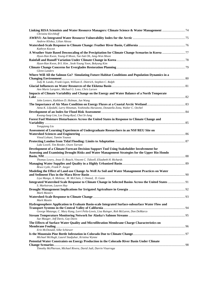| Christine Kirchhoff                                                                                                                                                                        |  |
|--------------------------------------------------------------------------------------------------------------------------------------------------------------------------------------------|--|
|                                                                                                                                                                                            |  |
| Andrew Kliskey, Lilian Alessa                                                                                                                                                              |  |
| Kathryn Koczot                                                                                                                                                                             |  |
| Hyun-Han Kwon, Young-Il Moon, Tae-Suk Oh, Jang-Won Moon                                                                                                                                    |  |
|                                                                                                                                                                                            |  |
| Hyun-Han Kwon, B-S. Kim, Seok-Young Yoon, Bokyung Kim                                                                                                                                      |  |
| <b>Glenn Landers</b>                                                                                                                                                                       |  |
| Where Will All the Salmon Go? Simulating Future Habitat Conditions and Population Dynamics in a                                                                                            |  |
| Jody B. Lando, Frank Ligon, William E. Dietrich, Stephen C. Ralph                                                                                                                          |  |
| Ann Marie Larquier, Michael G. Loso, Chris Larsen                                                                                                                                          |  |
| Impacts of Climate Variability and Change on the Energy and Water Balance of a North Temperate                                                                                             |  |
|                                                                                                                                                                                            |  |
| John Lenters, Kathleen D. Holman, Jun Wang                                                                                                                                                 |  |
| Anna K. Liljedahl, Larry Hinzman, Yoshinobu Harazono, Donatella Zona, Walter C. Oechel                                                                                                     |  |
| Kwang-Suop Lim, Lee Dong-Ryul, Choi Si-Jung                                                                                                                                                |  |
| Forest Fuel Moisture Disturbances Across the United States in Response to Climate Change and                                                                                               |  |
| Yongqiang Liu                                                                                                                                                                              |  |
| Assessment of Learning Experiences of Undergraduate Researchers in an NSF/REU Site on                                                                                                      |  |
| Vinod Lohani, Tamim Younos                                                                                                                                                                 |  |
|                                                                                                                                                                                            |  |
| Luke Lovell, Tim Reeder, Owen Tarrant                                                                                                                                                      |  |
| Development of a Climate Forecast Decision Support Tool Using Stakeholder Involvement for<br>Assessing and Examining Drought Risks and Water Management Strategies for the Upper Rio Hondo |  |
| Thomas Lowry, Jesse D. Roach, Vincent C. Tidwell, Elizabeth H. Richards                                                                                                                    |  |
|                                                                                                                                                                                            |  |
| Bruce Lytle, Frank P. Jaeger                                                                                                                                                               |  |
| Modeling the Effect of Land-use Change As Well As Soil and Water Management Practices on Water                                                                                             |  |
| Liya Mango, A. Melesse, M. McClain, J. Onsted, D. Gann                                                                                                                                     |  |
| Integrated Watershed Scale Response to Climate Change in Selected Basins Across the United States  91<br>S. Markstrom, Lauren Hay                                                          |  |
|                                                                                                                                                                                            |  |
| <b>Mark Masters</b>                                                                                                                                                                        |  |
| Mark Mastin                                                                                                                                                                                |  |
| Hydrogeosphere Application to Evaluate Basin-scale Integrated Surface-subsurface Water Flow and                                                                                            |  |
| George Matanga, C. Mary Kang, Lorri Peltz-Lewis, Lisa Rainger, Rob McLaren, Don DeMarco                                                                                                    |  |
| Sue Mauger, Jeff Davis, Gay Davis                                                                                                                                                          |  |
| The Effects of Surface Water Quality and Microfiltration Membrane Charge Characteristics on                                                                                                |  |
| Erin McDonald, Silke Schiewer                                                                                                                                                              |  |
|                                                                                                                                                                                            |  |
| Michael McHugh, Laurel Stadjuhar, Kristina Wynne<br>Potential Water Constraints on Energy Production in the Colorado River Basin Under Climate                                             |  |
|                                                                                                                                                                                            |  |
| Timothy McPherson, Michael Rivera, David Judi, Darrin Visarraga                                                                                                                            |  |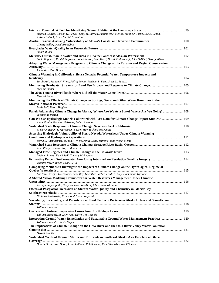| Stephen Bourne, Gordon H. Reeves, Kelly M. Burnett, Analisa Noel McKay, Matthew Goslin, Lee E. Benda,                                                  |  |
|--------------------------------------------------------------------------------------------------------------------------------------------------------|--|
| Allison Bidlack, Erica McCall Valentine                                                                                                                |  |
| Christy Miller, David Broadfoot                                                                                                                        |  |
| <b>Stuart Muller</b>                                                                                                                                   |  |
|                                                                                                                                                        |  |
| Sonia Nagorski, Daniel Engstrom, John Hudson, Eran Hood, David Krabbenhoft, John DeWild, George Aiken                                                  |  |
| Adapting Water Management Programs to Climate Change at the Toronto and Region Conservation                                                            |  |
| Ryan Ness, Don Haley                                                                                                                                   |  |
| Climate Warming in California's Sierra Nevada: Potential Water Temperature Impacts and                                                                 |  |
| Sarah Null, Joshua H. Viers, Jeffrey Mount, Michael L. Deas, Stacy K. Tanaka                                                                           |  |
| Matt O'Connor                                                                                                                                          |  |
| <b>Edward Plumb</b>                                                                                                                                    |  |
| Monitoring the Effects of Climate Change on Springs, Seeps and Other Water Resources in the                                                            |  |
|                                                                                                                                                        |  |
| Boris Poff, Debra Hughson                                                                                                                              |  |
| Panel: Addressing Climate Change in Alaska, Where Are We As a State? Where Are We Going? 108<br>Jacqueline Poston                                      |  |
| Can We Use Hydrologic Models Calibrated with Past Data for Climate Change Impact Studies?  109<br>Annie Poulin, Francois Brissette, Robert Leconte     |  |
|                                                                                                                                                        |  |
| R. Steven Regan, S. Markstrom, Lauren Hay, Richard Niswonger                                                                                           |  |
| Assessing Hydrologic Vulnerability of Sierra Nevada Watersheds Under Climate Warming                                                                   |  |
| David E. Rheinheimer, Joshua H. Viers, Jay R. Lund, Jeffrey Mount, Vishal Mehta                                                                        |  |
|                                                                                                                                                        |  |
| John Risley, Lauren Hay, S. Markstrom                                                                                                                  |  |
| Michael Rivera, David Judi, Timothy McPherson                                                                                                          |  |
| Jennifer Rover, Bruce Wylie, Lei Ji                                                                                                                    |  |
| Comparing Methods to Investigate the Impacts of Climate Change on the Hydrological Regime of                                                           |  |
| Luc Roy, Georges Desrochers, Rene Roy, Guenther Pacher, Fredric Guay, Dominique Tapsoba                                                                |  |
| A Shared Vision Modeling Framework for Water Resources Management Under Climatic                                                                       |  |
| Jae Ryu, Ray Supalla, Cody Knutson, Xun-Hong Chen, Richard Palmer                                                                                      |  |
| Effects of Postglacial Succession on Stream Water Quality and Chemistry in Glacier Bay,                                                                |  |
|                                                                                                                                                        |  |
| Nickolas Schlosstein, Eran Hood, Sonia Nagorski<br>Variability, Seasonality, and Persistence of Fecal Coliform Bacteria in Alaska Urban and Semi-Urban |  |
| William Schnabel                                                                                                                                       |  |
|                                                                                                                                                        |  |
| William Schnabel, M. Lilly, Amy Tidwell, H. Toniolo                                                                                                    |  |
| Integrating Ground Water Remediation and Sustainable Ground Water Management Practices120<br>William Schneider, Kevin Mayer                            |  |
| The Implications of Climate Change on the Ohio River and the Ohio River Valley Water Sanitation                                                        |  |
|                                                                                                                                                        |  |
| Gerald Schulte                                                                                                                                         |  |
| Watershed Yields of Organic Matter and Nutrients in Southeast Alaska As a Function of Glacial                                                          |  |
| Durelle Scott, Eran Hood, Jason Fellman, Rob Spencer, Rick Edwards, Dave D'Amore                                                                       |  |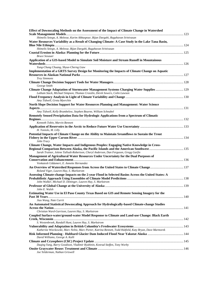| Effect of Downscaling Methods on the Assessment of the Impact of Climate Change in Watershed                                                                 |  |
|--------------------------------------------------------------------------------------------------------------------------------------------------------------|--|
|                                                                                                                                                              |  |
| Shimelis Setegn, A. Melesse, Karim Abbaspour, Bijan Dargahi, Ragahavan Srinivasan                                                                            |  |
| Water Resources Variability as a Result of Changing Climate: A Case Study in the Lake Tana Basin,                                                            |  |
| Shimelis Setegn, A. Melesse, Bijan Dargahi, Ragahavan Srinivasan                                                                                             |  |
| <b>Bruce Sexauer</b>                                                                                                                                         |  |
| Application of a GIS-based Model to Simulate Soil Moisture and Stream Runoff in Mountainous                                                                  |  |
|                                                                                                                                                              |  |
| Yung-Chung Chuang, Shyue-Cherng Liaw                                                                                                                         |  |
| Implementation of a GRTS Survey Design for Monitoring the Impacts of Climate Change on Aquatic                                                               |  |
| <b>Trey Simmons</b>                                                                                                                                          |  |
|                                                                                                                                                              |  |
| George Smith                                                                                                                                                 |  |
| Climate Change Adaptation of Stormwater Management Systems Charging Water Supplies  129                                                                      |  |
| Latham Stack, Michael Simpson, Thomas Crosslin, Derek Sowers, Colin Lawson                                                                                   |  |
| Amy Tidwell, Greta Myerchin                                                                                                                                  |  |
| North Slope Decision Support for Water Resources Planning and Management: Water Science                                                                      |  |
|                                                                                                                                                              |  |
| Amy Tidwell, Kelly Brumbelow, Stephen Bourne, William Schnabel<br>Remotely Sensed Precipitation Data for Hydrologic Applications from a Spectrum of Climatic |  |
|                                                                                                                                                              |  |
| Kenneth Tobin, Marvin Bennett                                                                                                                                |  |
| H. Toniolo, M. Lilly                                                                                                                                         |  |
| Potential Impacts of Climate Change on the Ability to Maintain Sreamflows to Sustain the Trout                                                               |  |
|                                                                                                                                                              |  |
| John Tracy                                                                                                                                                   |  |
| Climate Change, Water Impacts and Indigenous Peoples: Engaging Native Knowledge in Cross-                                                                    |  |
| Sarah Trainor, Jolene Tallsalt-Robertson, Cheryl Anderson, Dan Ferguson, Gregg Garfin                                                                        |  |
| Management of Agricultural Water Resources Under Uncertainty for the Dual Purposes of                                                                        |  |
| Venkatesh Uddameri, E. Annette Hernandez                                                                                                                     |  |
|                                                                                                                                                              |  |
| Roland Viger, Lauren Hay, S. Markstrom                                                                                                                       |  |
| Assessing Climate-change Impacts on the 2-year Flood in Selected Basins Across the United States: A                                                          |  |
| John Walker, Michael D. Dettinger, Lauren Hay, S. Markstrom                                                                                                  |  |
|                                                                                                                                                              |  |
| John E. Walsh<br>Estimating Water Use in El Paso County Texas Based on GIS and Remote Sensing Imagery for the                                                |  |
|                                                                                                                                                              |  |
| Jiao Wang, Nate Currit                                                                                                                                       |  |
| An Automated Statistical Downscaling Approach for Hydrologically-based Climate-change Studies                                                                |  |
| Christian Ward-Garrison, Lauren Hay, S. Markstrom                                                                                                            |  |
| Coupled Surface-water/ground-water Model Response to Climate and Land-use Change: Black Earth                                                                |  |
|                                                                                                                                                              |  |
| S. Westenbroek, Randall Hunt, Lauren Hay, S. Markstrom                                                                                                       |  |
|                                                                                                                                                              |  |
| Katherine Wieckowski, Marc Neltiz, Marc Porter, Katrina Bennett, Todd Hatfield, Katy Bryan, Dave Marmorek                                                    |  |
| David Williams, George A. Kalli                                                                                                                              |  |
|                                                                                                                                                              |  |
| Daqing Yang, Barry Goodison, Vladimir Ryabinin, Konrad Steffen, Tony Worby                                                                                   |  |
|                                                                                                                                                              |  |
| Joe Yelderman, Nathan Griswell                                                                                                                               |  |
|                                                                                                                                                              |  |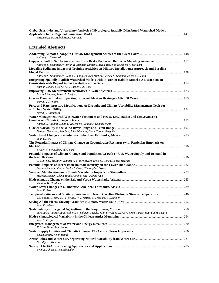| Global Sensitivity and Uncertainty Analysis of Hydrologic, Spatially Distributed Watershed Models -                                                                                              |  |
|--------------------------------------------------------------------------------------------------------------------------------------------------------------------------------------------------|--|
| Zuzanna Zajac, Rafael Munoz-Carpena                                                                                                                                                              |  |
|                                                                                                                                                                                                  |  |
| <b>Extended Abstracts</b>                                                                                                                                                                        |  |
| Anthony J. Eberhardt                                                                                                                                                                             |  |
| Copper Runoff to San Francisco Bay from Brake Pad Wear Debris: A Modeling Assessment  152<br>Anthony S. Donigian Jr., Brian R. Bicknell, Kirsten Sinclair Rosselot, Elizabeth A. Wolfram         |  |
| Modeling Sediment Impacts of Training Activities on Military Installations: Approach and Baseline<br>Anthony S. Donigian Jr., John C. Imhoff, Anurag Mishra, Patrick N. Deliman, Eileen C. Regan |  |
| Integrating Spatially Explicit Watershed Models with In-stream Habitat Models: A Discussion on                                                                                                   |  |
| Barnali Dixon, J. Earls, A.F. Casper, J.A. Gore                                                                                                                                                  |  |
| Bryan J. Heiner, Steven L. Barfuss<br>David F. G. Wolfe                                                                                                                                          |  |
| Price and Rate-structure Modifications As Drought and Climate Variability Management Tools for<br>David E. Rosenberg                                                                             |  |
| Water Management with Wastewater Treatment and Reuse, Desalination and Conveyance to                                                                                                             |  |
| Ahmed E. Aljuaidi, David E. Rosenberg, Jagath J. Kaluarachchi                                                                                                                                    |  |
| Derrick Thompson, Jeb Bell, Jake Edmunds, Glenn Tootle, Greg Kerr<br>John D. Fox                                                                                                                 |  |
| The Potential Impact of Climate Change on Groundwater Recharge (with Particular Emphasis on                                                                                                      |  |
| Frederick Bloetscher, Tara Bardi                                                                                                                                                                 |  |
| Potential Impacts of Climate Change and Population Growth on U.S. Water Supply and Demand in<br>G. Sun, S.G. McNulty, Jennifer A. Moore Myers, Erika C. Cohen, Robert Herring                    |  |
| Susanna Heather Glaze, Bobby J. Creel, Christopher Brown                                                                                                                                         |  |
| Haroon Stephen, Glenn Tootle, Cody Moser, Oubeid Aziz                                                                                                                                            |  |
| Timothy W. Hawkins                                                                                                                                                                               |  |
| John D. Fox                                                                                                                                                                                      |  |
| <b>Temporal Patterns and Spatial Consistency in North Carolina Piedmont Stream Temperature  246</b><br>J.L. Boggs, G. Sun, S.G. McNulty, W. Swartley, E. Treasure, W. Summer                     |  |
| John D. Wiener                                                                                                                                                                                   |  |
| Jose Luis Minjares-Lugo, Roberto F. Salmon-Castelo, Juan B. Valdes, Lucas A. Oroz-Ramos, Raul Lopez-Zavala                                                                                       |  |
| Jose A. Vergara                                                                                                                                                                                  |  |
| Kristine Shaw, Peter Newell                                                                                                                                                                      |  |
| Laura Stroup, Kevin Romig                                                                                                                                                                        |  |
| M. Lilly, H. Toniolo                                                                                                                                                                             |  |
| Lynn E. Johnson, Tim Schneider                                                                                                                                                                   |  |